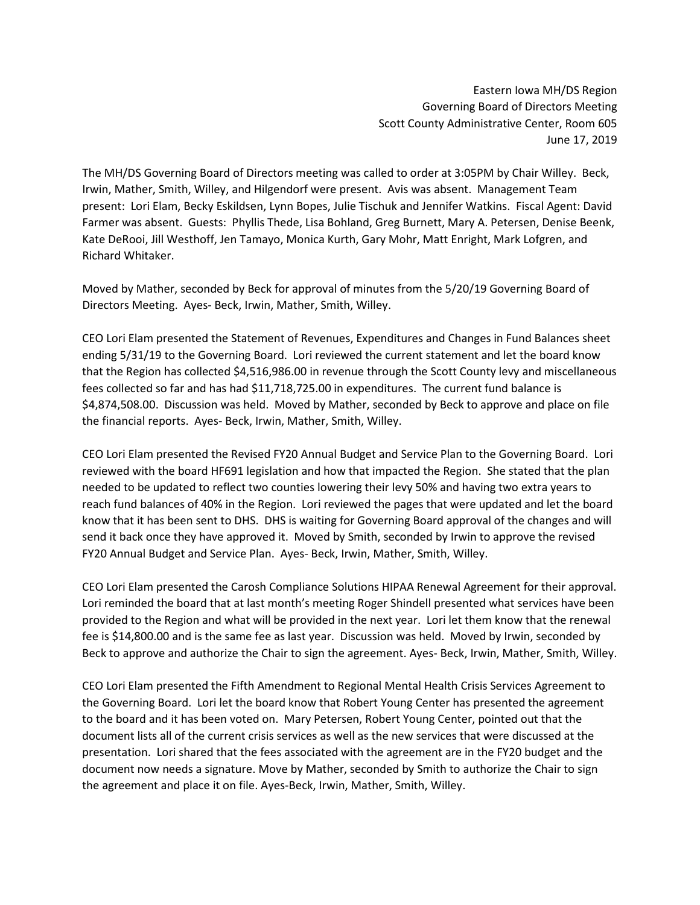Eastern Iowa MH/DS Region Governing Board of Directors Meeting Scott County Administrative Center, Room 605 June 17, 2019

The MH/DS Governing Board of Directors meeting was called to order at 3:05PM by Chair Willey. Beck, Irwin, Mather, Smith, Willey, and Hilgendorf were present. Avis was absent. Management Team present: Lori Elam, Becky Eskildsen, Lynn Bopes, Julie Tischuk and Jennifer Watkins. Fiscal Agent: David Farmer was absent. Guests: Phyllis Thede, Lisa Bohland, Greg Burnett, Mary A. Petersen, Denise Beenk, Kate DeRooi, Jill Westhoff, Jen Tamayo, Monica Kurth, Gary Mohr, Matt Enright, Mark Lofgren, and Richard Whitaker.

Moved by Mather, seconded by Beck for approval of minutes from the 5/20/19 Governing Board of Directors Meeting. Ayes- Beck, Irwin, Mather, Smith, Willey.

CEO Lori Elam presented the Statement of Revenues, Expenditures and Changes in Fund Balances sheet ending 5/31/19 to the Governing Board. Lori reviewed the current statement and let the board know that the Region has collected \$4,516,986.00 in revenue through the Scott County levy and miscellaneous fees collected so far and has had \$11,718,725.00 in expenditures. The current fund balance is \$4,874,508.00. Discussion was held. Moved by Mather, seconded by Beck to approve and place on file the financial reports. Ayes- Beck, Irwin, Mather, Smith, Willey.

CEO Lori Elam presented the Revised FY20 Annual Budget and Service Plan to the Governing Board. Lori reviewed with the board HF691 legislation and how that impacted the Region. She stated that the plan needed to be updated to reflect two counties lowering their levy 50% and having two extra years to reach fund balances of 40% in the Region. Lori reviewed the pages that were updated and let the board know that it has been sent to DHS. DHS is waiting for Governing Board approval of the changes and will send it back once they have approved it. Moved by Smith, seconded by Irwin to approve the revised FY20 Annual Budget and Service Plan. Ayes- Beck, Irwin, Mather, Smith, Willey.

CEO Lori Elam presented the Carosh Compliance Solutions HIPAA Renewal Agreement for their approval. Lori reminded the board that at last month's meeting Roger Shindell presented what services have been provided to the Region and what will be provided in the next year. Lori let them know that the renewal fee is \$14,800.00 and is the same fee as last year. Discussion was held. Moved by Irwin, seconded by Beck to approve and authorize the Chair to sign the agreement. Ayes- Beck, Irwin, Mather, Smith, Willey.

CEO Lori Elam presented the Fifth Amendment to Regional Mental Health Crisis Services Agreement to the Governing Board. Lori let the board know that Robert Young Center has presented the agreement to the board and it has been voted on. Mary Petersen, Robert Young Center, pointed out that the document lists all of the current crisis services as well as the new services that were discussed at the presentation. Lori shared that the fees associated with the agreement are in the FY20 budget and the document now needs a signature. Move by Mather, seconded by Smith to authorize the Chair to sign the agreement and place it on file. Ayes-Beck, Irwin, Mather, Smith, Willey.